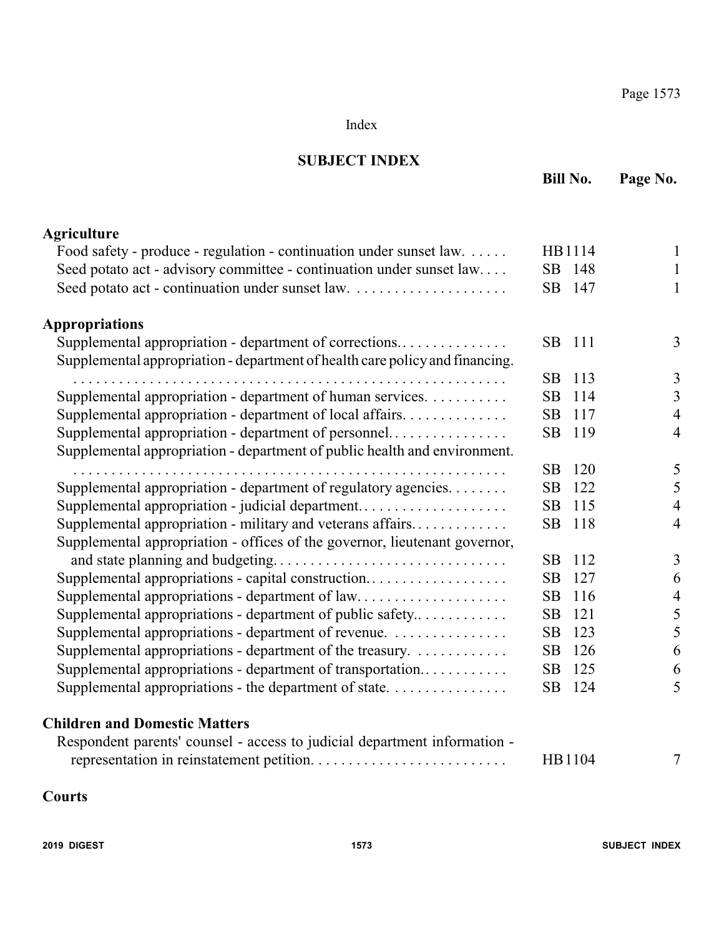| <b>SUBJECT INDEX</b>                                                                                                                   |                  |                |  |
|----------------------------------------------------------------------------------------------------------------------------------------|------------------|----------------|--|
|                                                                                                                                        | <b>Bill No.</b>  | Page No.       |  |
| <b>Agriculture</b>                                                                                                                     |                  |                |  |
| Food safety - produce - regulation - continuation under sunset law.                                                                    | HB1114           | $\mathbf{1}$   |  |
| Seed potato act - advisory committee - continuation under sunset law                                                                   | SB<br>148        | $\mathbf{1}$   |  |
|                                                                                                                                        | SB<br>147        | 1              |  |
| <b>Appropriations</b>                                                                                                                  |                  |                |  |
| Supplemental appropriation - department of corrections<br>Supplemental appropriation - department of health care policy and financing. | SB 111           | 3              |  |
|                                                                                                                                        | SB.<br>113       | $\mathfrak{Z}$ |  |
| Supplemental appropriation - department of human services.                                                                             | <b>SB</b><br>114 | 3              |  |
| Supplemental appropriation - department of local affairs.                                                                              | SB<br>117        | $\overline{4}$ |  |
| Supplemental appropriation - department of personnel                                                                                   | SB<br>119        | $\overline{4}$ |  |
| Supplemental appropriation - department of public health and environment.                                                              |                  |                |  |
|                                                                                                                                        | SB<br>120        | 5              |  |
| Supplemental appropriation - department of regulatory agencies.                                                                        | SB<br>122        | 5              |  |
| Supplemental appropriation - judicial department                                                                                       | <b>SB</b><br>115 | $\overline{4}$ |  |
| Supplemental appropriation - military and veterans affairs                                                                             | SB<br>118        | $\overline{4}$ |  |
| Supplemental appropriation - offices of the governor, lieutenant governor,                                                             |                  |                |  |
|                                                                                                                                        | SB<br>112        | 3              |  |
| Supplemental appropriations - capital construction                                                                                     | <b>SB</b><br>127 | 6              |  |
| Supplemental appropriations - department of law                                                                                        | <b>SB</b><br>116 | $\overline{4}$ |  |
| Supplemental appropriations - department of public safety                                                                              | <b>SB</b><br>121 | 5              |  |
| Supplemental appropriations - department of revenue.                                                                                   | SB<br>123        | 5              |  |
| Supplemental appropriations - department of the treasury.                                                                              | <b>SB</b><br>126 | 6              |  |
| Supplemental appropriations - department of transportation                                                                             | SB<br>125        | 6              |  |
| Supplemental appropriations - the department of state                                                                                  | SB 124           | 5              |  |
| <b>Children and Domestic Matters</b>                                                                                                   |                  |                |  |
| Respondent parents' counsel - access to judicial department information -                                                              |                  |                |  |
|                                                                                                                                        | HB1104           | 7              |  |
|                                                                                                                                        |                  |                |  |

**Courts**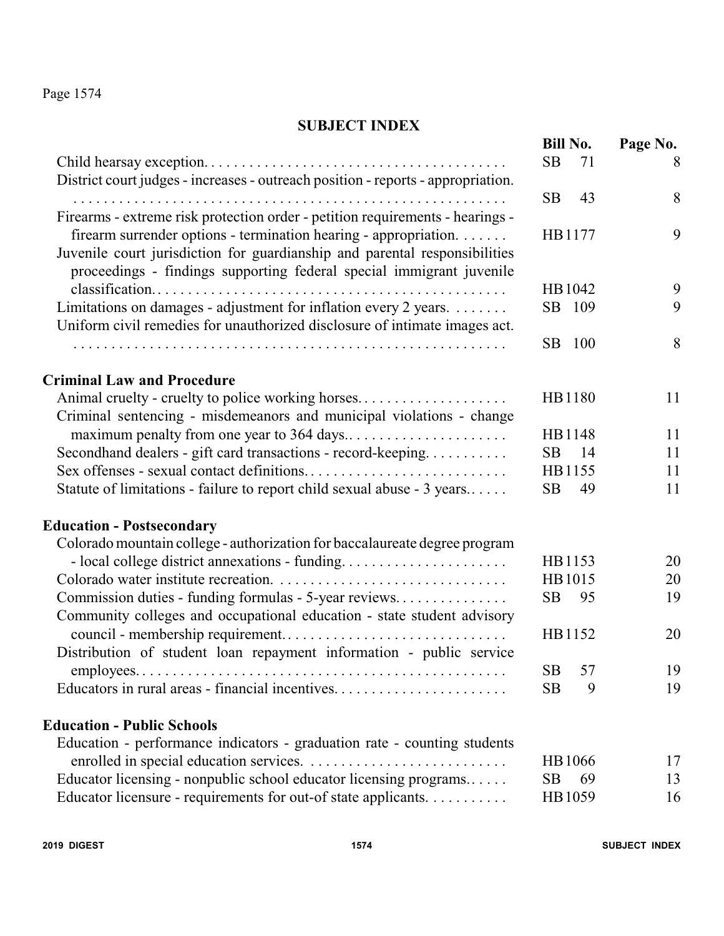|                                                                                                                                                                                                                        | <b>Bill No.</b> | Page No. |
|------------------------------------------------------------------------------------------------------------------------------------------------------------------------------------------------------------------------|-----------------|----------|
| District court judges - increases - outreach position - reports - appropriation.                                                                                                                                       | <b>SB</b><br>71 | 8        |
| Firearms - extreme risk protection order - petition requirements - hearings -                                                                                                                                          | <b>SB</b><br>43 | 8        |
| firearm surrender options - termination hearing - appropriation.<br>Juvenile court jurisdiction for guardianship and parental responsibilities<br>proceedings - findings supporting federal special immigrant juvenile | HB1177          | 9        |
|                                                                                                                                                                                                                        | HB1042          | 9        |
| Limitations on damages - adjustment for inflation every 2 years.<br>Uniform civil remedies for unauthorized disclosure of intimate images act.                                                                         | SB 109          | 9        |
|                                                                                                                                                                                                                        | SB 100          | 8        |
| <b>Criminal Law and Procedure</b>                                                                                                                                                                                      |                 |          |
| Animal cruelty - cruelty to police working horses<br>Criminal sentencing - misdemeanors and municipal violations - change                                                                                              | HB1180          | 11       |
|                                                                                                                                                                                                                        | HB1148          | 11       |
| Secondhand dealers - gift card transactions - record-keeping                                                                                                                                                           | <b>SB</b><br>14 | 11       |
| Sex offenses - sexual contact definitions                                                                                                                                                                              | HB1155          | 11       |
| Statute of limitations - failure to report child sexual abuse - 3 years                                                                                                                                                | SB<br>49        | 11       |
| <b>Education - Postsecondary</b>                                                                                                                                                                                       |                 |          |
| Colorado mountain college - authorization for baccalaureate degree program                                                                                                                                             |                 |          |
|                                                                                                                                                                                                                        | HB1153          | 20       |
|                                                                                                                                                                                                                        | HB1015          | 20       |
| Commission duties - funding formulas - 5-year reviews<br>Community colleges and occupational education - state student advisory                                                                                        | SB<br>95        | 19       |
| Distribution of student loan repayment information - public service                                                                                                                                                    | HB1152          | 20       |
|                                                                                                                                                                                                                        | SB 57           | 19       |
|                                                                                                                                                                                                                        | SB<br>9         | 19       |
| <b>Education - Public Schools</b>                                                                                                                                                                                      |                 |          |
| Education - performance indicators - graduation rate - counting students                                                                                                                                               |                 |          |
|                                                                                                                                                                                                                        | HB1066          | 17       |
| Educator licensing - nonpublic school educator licensing programs                                                                                                                                                      | <b>SB</b><br>69 | 13       |
| Educator licensure - requirements for out-of state applicants.                                                                                                                                                         | HB1059          | 16       |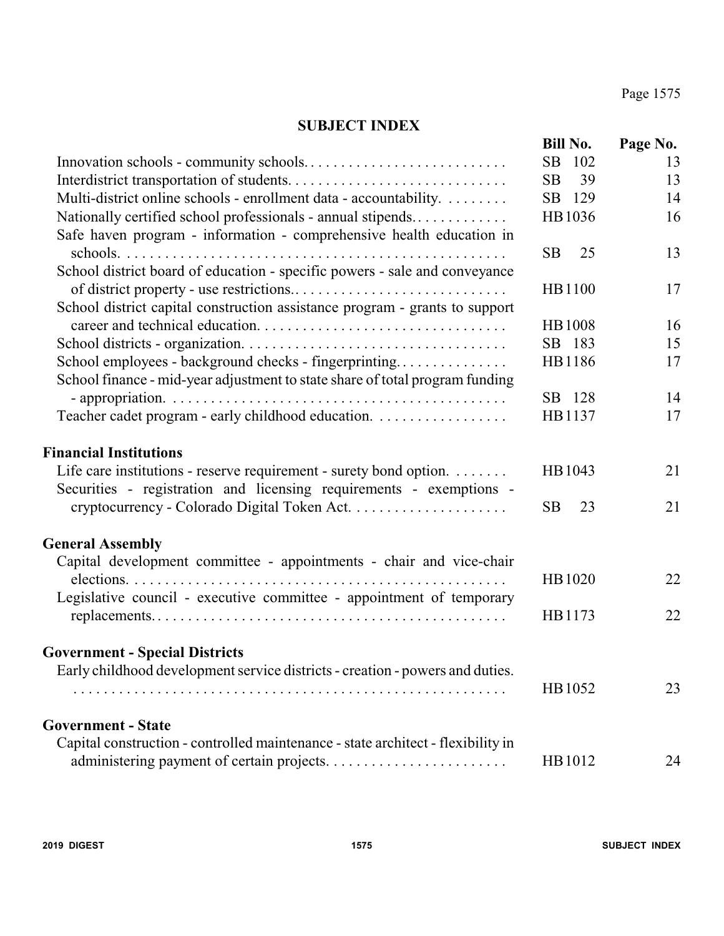|                                                                                                                                       | <b>Bill No.</b>           | Page No. |
|---------------------------------------------------------------------------------------------------------------------------------------|---------------------------|----------|
|                                                                                                                                       | SB<br>102                 | 13       |
|                                                                                                                                       | <b>SB</b><br>39           | 13       |
| Multi-district online schools - enrollment data - accountability.                                                                     | 129<br>SB                 | 14       |
| Nationally certified school professionals - annual stipends<br>Safe haven program - information - comprehensive health education in   | HB1036<br><b>SB</b><br>25 | 16<br>13 |
| School district board of education - specific powers - sale and conveyance                                                            |                           |          |
|                                                                                                                                       | HB1100                    | 17       |
| School district capital construction assistance program - grants to support                                                           |                           |          |
|                                                                                                                                       | <b>HB1008</b>             | 16       |
|                                                                                                                                       | SB 183                    | 15       |
| School employees - background checks - fingerprinting<br>School finance - mid-year adjustment to state share of total program funding | HB1186                    | 17       |
|                                                                                                                                       | SB 128                    | 14       |
| Teacher cadet program - early childhood education.                                                                                    | HB1137                    | 17       |
| <b>Financial Institutions</b>                                                                                                         |                           |          |
| Life care institutions - reserve requirement - surety bond option.                                                                    | HB1043                    | 21       |
| Securities - registration and licensing requirements - exemptions -                                                                   |                           |          |
|                                                                                                                                       | <b>SB</b><br>23           | 21       |
| <b>General Assembly</b>                                                                                                               |                           |          |
| Capital development committee - appointments - chair and vice-chair                                                                   |                           |          |
|                                                                                                                                       | HB1020                    | 22       |
| Legislative council - executive committee - appointment of temporary                                                                  | HB1173                    | 22       |
|                                                                                                                                       |                           |          |
| <b>Government - Special Districts</b>                                                                                                 |                           |          |
| Early childhood development service districts - creation - powers and duties.                                                         | HB1052                    | 23       |
| <b>Government - State</b>                                                                                                             |                           |          |
| Capital construction - controlled maintenance - state architect - flexibility in                                                      |                           |          |
|                                                                                                                                       | HB1012                    | 24       |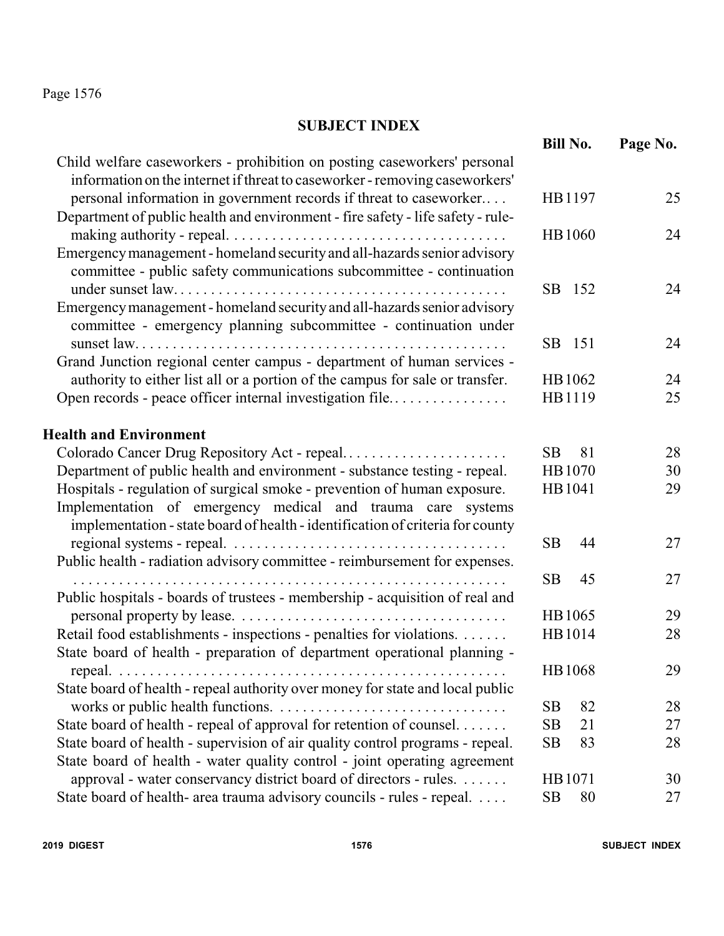| <b>Bill No.</b> | Page No.                                                                                 |
|-----------------|------------------------------------------------------------------------------------------|
|                 |                                                                                          |
| HB1197          | 25                                                                                       |
|                 |                                                                                          |
|                 | 24                                                                                       |
|                 |                                                                                          |
|                 | 24                                                                                       |
| SB 151          | 24                                                                                       |
|                 |                                                                                          |
| HB1062          | 24                                                                                       |
| HB1119          | 25                                                                                       |
|                 |                                                                                          |
|                 |                                                                                          |
| <b>SB</b><br>81 | 28                                                                                       |
| HB1070          | 30                                                                                       |
| HB1041          | 29                                                                                       |
|                 | 27                                                                                       |
|                 |                                                                                          |
|                 | 27                                                                                       |
|                 |                                                                                          |
| HB1065          | 29                                                                                       |
| HB1014          | 28                                                                                       |
|                 |                                                                                          |
|                 | 29                                                                                       |
|                 |                                                                                          |
| <b>SB</b><br>82 | 28                                                                                       |
|                 | 27                                                                                       |
|                 | 28                                                                                       |
|                 |                                                                                          |
| HB1071          | 30                                                                                       |
| SB<br>80        | 27                                                                                       |
|                 | HB1060<br>SB 152<br>SB<br>44<br><b>SB</b><br>45<br>HB1068<br>SB<br>21<br><b>SB</b><br>83 |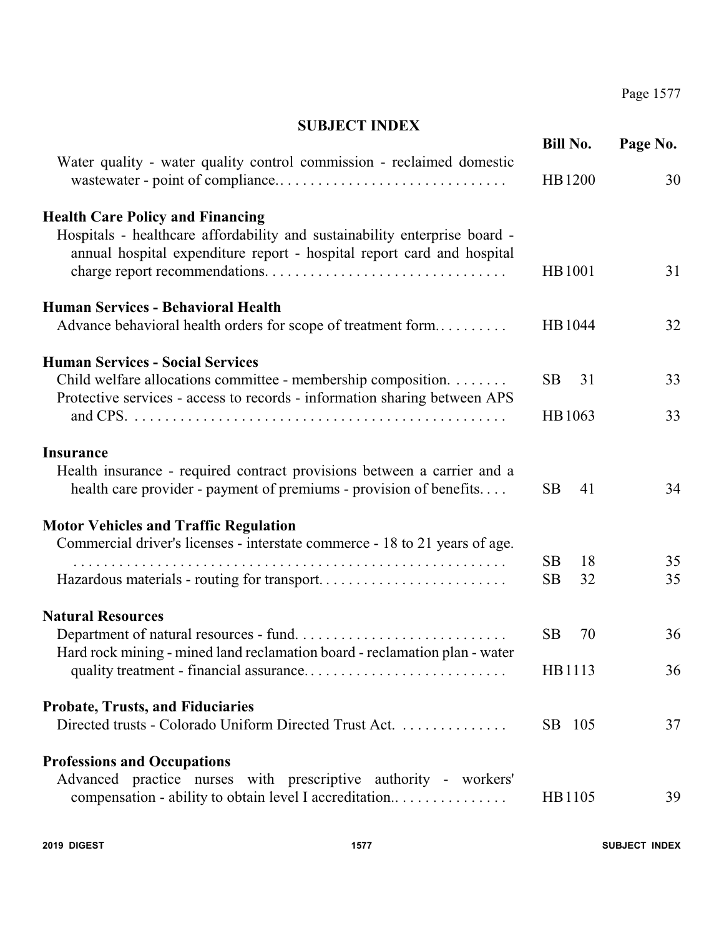|                                                                                                                           | <b>Bill No.</b> | Page No. |
|---------------------------------------------------------------------------------------------------------------------------|-----------------|----------|
| Water quality - water quality control commission - reclaimed domestic                                                     | HB1200          | 30       |
| <b>Health Care Policy and Financing</b>                                                                                   |                 |          |
| Hospitals - healthcare affordability and sustainability enterprise board -                                                |                 |          |
| annual hospital expenditure report - hospital report card and hospital                                                    |                 |          |
|                                                                                                                           | HB1001          | 31       |
| <b>Human Services - Behavioral Health</b>                                                                                 |                 |          |
| Advance behavioral health orders for scope of treatment form                                                              | HB1044          | 32       |
| <b>Human Services - Social Services</b>                                                                                   |                 |          |
| Child welfare allocations committee - membership composition.                                                             | SB<br>31        | 33       |
| Protective services - access to records - information sharing between APS                                                 |                 |          |
|                                                                                                                           | HB1063          | 33       |
| <b>Insurance</b>                                                                                                          |                 |          |
| Health insurance - required contract provisions between a carrier and a                                                   |                 |          |
| health care provider - payment of premiums - provision of benefits                                                        | SB.<br>41       | 34       |
| <b>Motor Vehicles and Traffic Regulation</b>                                                                              |                 |          |
| Commercial driver's licenses - interstate commerce - 18 to 21 years of age.                                               |                 |          |
|                                                                                                                           | 18<br>SB.       | 35       |
|                                                                                                                           | <b>SB</b><br>32 | 35       |
| <b>Natural Resources</b>                                                                                                  |                 |          |
| Department of natural resources - fund                                                                                    | <b>SB</b><br>70 | 36       |
| Hard rock mining - mined land reclamation board - reclamation plan - water                                                |                 |          |
|                                                                                                                           | HB1113          | 36       |
| <b>Probate, Trusts, and Fiduciaries</b>                                                                                   |                 |          |
| Directed trusts - Colorado Uniform Directed Trust Act.                                                                    | SB 105          | 37       |
|                                                                                                                           |                 |          |
| <b>Professions and Occupations</b>                                                                                        |                 |          |
| Advanced practice nurses with prescriptive authority - workers'<br>compensation - ability to obtain level I accreditation | HB1105          | 39       |
|                                                                                                                           |                 |          |
|                                                                                                                           |                 |          |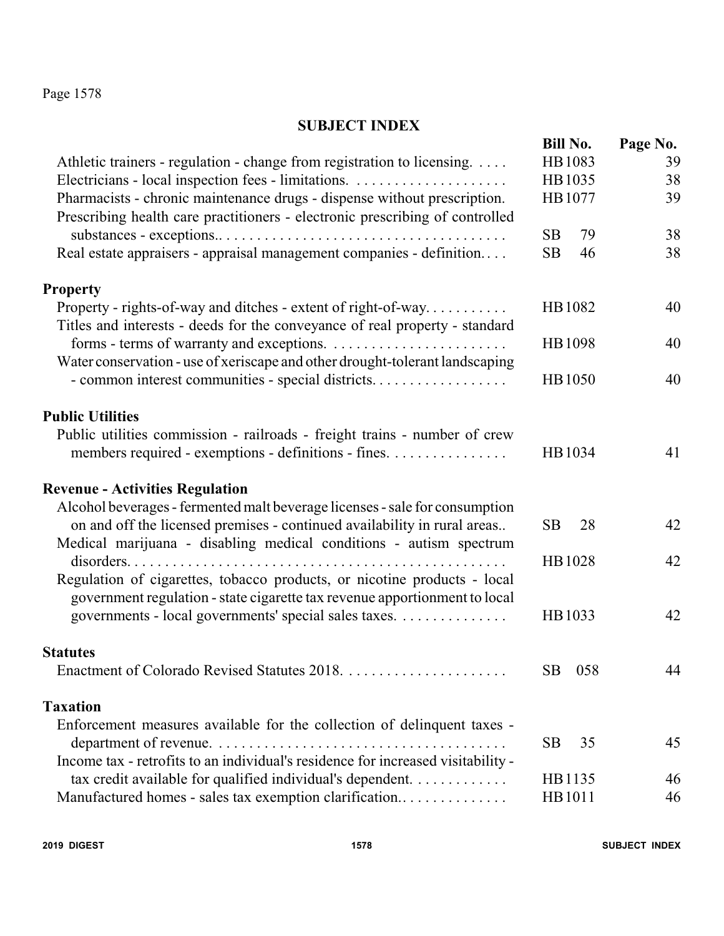|                                                                                                                                                          | <b>Bill No.</b> | Page No. |
|----------------------------------------------------------------------------------------------------------------------------------------------------------|-----------------|----------|
| Athletic trainers - regulation - change from registration to licensing.                                                                                  | HB1083          | 39       |
|                                                                                                                                                          | HB1035          | 38       |
| Pharmacists - chronic maintenance drugs - dispense without prescription.<br>Prescribing health care practitioners - electronic prescribing of controlled | HB1077          | 39       |
|                                                                                                                                                          | SB<br>79        | 38       |
| Real estate appraisers - appraisal management companies - definition                                                                                     | SB<br>46        | 38       |
| <b>Property</b>                                                                                                                                          |                 |          |
| Property - rights-of-way and ditches - extent of right-of-way<br>Titles and interests - deeds for the conveyance of real property - standard             | HB1082          | 40       |
|                                                                                                                                                          | HB1098          | 40       |
| Water conservation - use of xeriscape and other drought-tolerant landscaping<br>- common interest communities - special districts                        | HB1050          | 40       |
| <b>Public Utilities</b>                                                                                                                                  |                 |          |
| Public utilities commission - railroads - freight trains - number of crew<br>members required - exemptions - definitions - fines.                        | HB1034          | 41       |
| <b>Revenue - Activities Regulation</b>                                                                                                                   |                 |          |
| Alcohol beverages - fermented malt beverage licenses - sale for consumption<br>on and off the licensed premises - continued availability in rural areas  | SB<br>28        | 42       |
| Medical marijuana - disabling medical conditions - autism spectrum<br>$disorders. \ldots$                                                                | HB1028          | 42       |
| Regulation of cigarettes, tobacco products, or nicotine products - local<br>government regulation - state cigarette tax revenue apportionment to local   |                 |          |
| governments - local governments' special sales taxes.                                                                                                    | HB1033          | 42       |
| <b>Statutes</b>                                                                                                                                          |                 |          |
|                                                                                                                                                          | SB<br>058       | 44       |
| <b>Taxation</b>                                                                                                                                          |                 |          |
| Enforcement measures available for the collection of delinquent taxes -                                                                                  |                 |          |
|                                                                                                                                                          | SB.<br>35       | 45       |
| Income tax - retrofits to an individual's residence for increased visitability -<br>tax credit available for qualified individual's dependent.           | HB1135          | 46       |
| Manufactured homes - sales tax exemption clarification                                                                                                   | HB1011          | 46       |
|                                                                                                                                                          |                 |          |